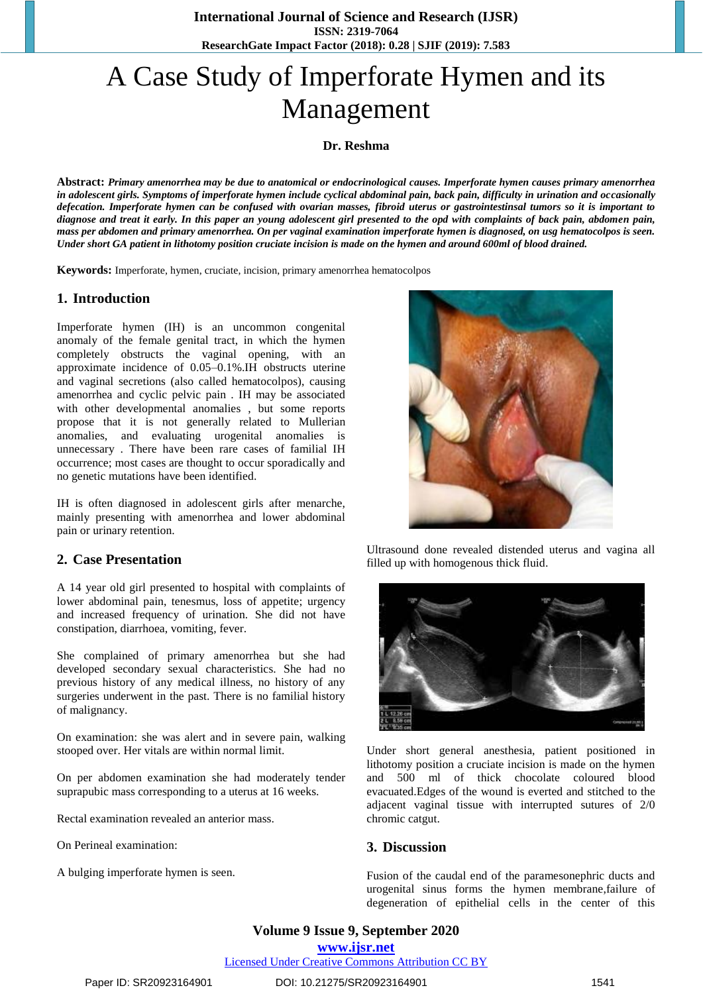**International Journal of Science and Research (IJSR) ISSN: 2319-7064 ResearchGate Impact Factor (2018): 0.28 | SJIF (2019): 7.583**

# A Case Study of Imperforate Hymen and its Management

**Dr. Reshma**

**Abstract:** *Primary amenorrhea may be due to anatomical or endocrinological causes. Imperforate hymen causes primary amenorrhea in adolescent girls. Symptoms of imperforate hymen include cyclical abdominal pain, back pain, difficulty in urination and occasionally defecation. Imperforate hymen can be confused with ovarian masses, fibroid uterus or gastrointestinsal tumors so it is important to diagnose and treat it early. In this paper an young adolescent girl presented to the opd with complaints of back pain, abdomen pain, mass per abdomen and primary amenorrhea. On per vaginal examination imperforate hymen is diagnosed, on usg hematocolpos is seen. Under short GA patient in lithotomy position cruciate incision is made on the hymen and around 600ml of blood drained.*

**Keywords:** Imperforate, hymen, cruciate, incision, primary amenorrhea hematocolpos

## **1. Introduction**

Imperforate hymen (IH) is an uncommon congenital anomaly of the female genital tract, in which the hymen completely obstructs the vaginal opening, with an approximate incidence of 0.05–0.1%.IH obstructs uterine and vaginal secretions (also called hematocolpos), causing amenorrhea and cyclic pelvic pain . IH may be associated with other developmental anomalies , but some reports propose that it is not generally related to Mullerian anomalies, and evaluating urogenital anomalies is unnecessary . There have been rare cases of familial IH occurrence; most cases are thought to occur sporadically and no genetic mutations have been identified.

IH is often diagnosed in adolescent girls after menarche, mainly presenting with amenorrhea and lower abdominal pain or urinary retention.

## **2. Case Presentation**

A 14 year old girl presented to hospital with complaints of lower abdominal pain, tenesmus, loss of appetite; urgency and increased frequency of urination. She did not have constipation, diarrhoea, vomiting, fever.

She complained of primary amenorrhea but she had developed secondary sexual characteristics. She had no previous history of any medical illness, no history of any surgeries underwent in the past. There is no familial history of malignancy.

On examination: she was alert and in severe pain, walking stooped over. Her vitals are within normal limit.

On per abdomen examination she had moderately tender suprapubic mass corresponding to a uterus at 16 weeks.

Rectal examination revealed an anterior mass.

On Perineal examination:

A bulging imperforate hymen is seen.



Ultrasound done revealed distended uterus and vagina all filled up with homogenous thick fluid.



Under short general anesthesia, patient positioned in lithotomy position a cruciate incision is made on the hymen and 500 ml of thick chocolate coloured blood evacuated.Edges of the wound is everted and stitched to the adjacent vaginal tissue with interrupted sutures of 2/0 chromic catgut.

#### **3. Discussion**

Fusion of the caudal end of the paramesonephric ducts and urogenital sinus forms the hymen membrane,failure of degeneration of epithelial cells in the center of this

**Volume 9 Issue 9, September 2020 www.ijsr.net**

Licensed Under Creative Commons Attribution CC BY